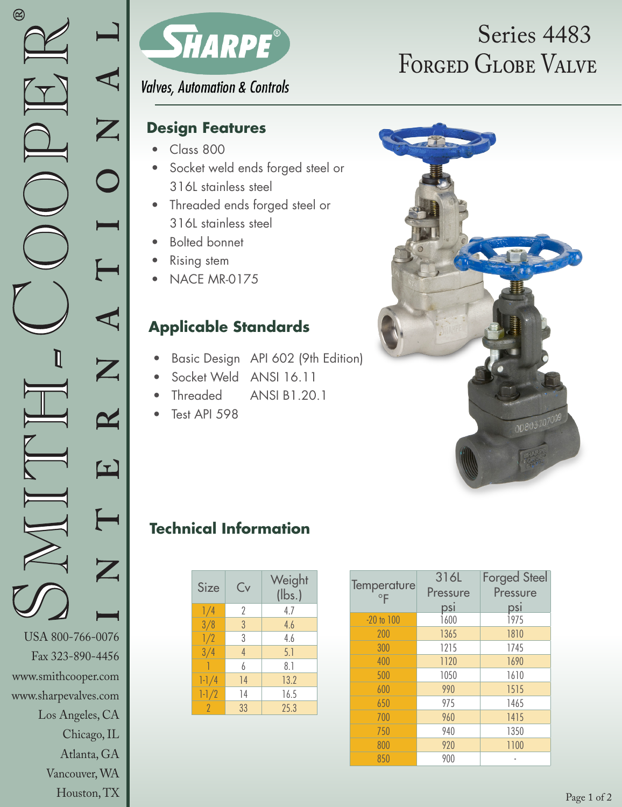Vancouver, WA Houston, TX



**Valves, Automation & Controls** 

#### **Design Features**

- Class 800
- Socket weld ends forged steel or 316L stainless steel
- Threaded ends forged steel or 316L stainless steel
- Bolted bonnet
- **Rising stem**
- NACE MR-0175

### **Applicable Standards**

- Basic Design API 602 (9th Edition)
- Socket Weld ANSI 16.11
- Threaded ANSI B1.20.1
- Test API 598

# FORGED GLOBE VALVE Series 4483



### **Technical Information**

| Size      | Cv | Weight<br>$(\mathsf{lbs.})$ |
|-----------|----|-----------------------------|
| 1/4       | 2  | 4.7                         |
| 3/8       | 3  | 4.6                         |
| 1/2       | 3  | 4.6                         |
| 3/4       | 4  | 5.1                         |
|           | 6  | 8.1                         |
| $1 - 1/4$ | 14 | 13.2                        |
| $1 - 1/2$ | 14 | 16.5                        |
| 2         | 33 | 25.3                        |

| Temperature    | 316L     | <b>Forged Steel</b> |  |  |
|----------------|----------|---------------------|--|--|
| $\circ$ F      | Pressure | Pressure            |  |  |
|                | psi      | psi                 |  |  |
| $-20$ to $100$ | 1600     | <b>1975</b>         |  |  |
| 200            | 1365     | 1810                |  |  |
| 300            | 1215     | 1745                |  |  |
| 400            | 1120     | 1690                |  |  |
| 500            | 1050     | 1610                |  |  |
| 600            | 990      | 1515                |  |  |
| 650            | 975      | 1465                |  |  |
| 700            | 960      | 1415                |  |  |
| 750            | 940      | 1350                |  |  |
| 800            | 920      | 1100                |  |  |
| 850            | 900      |                     |  |  |